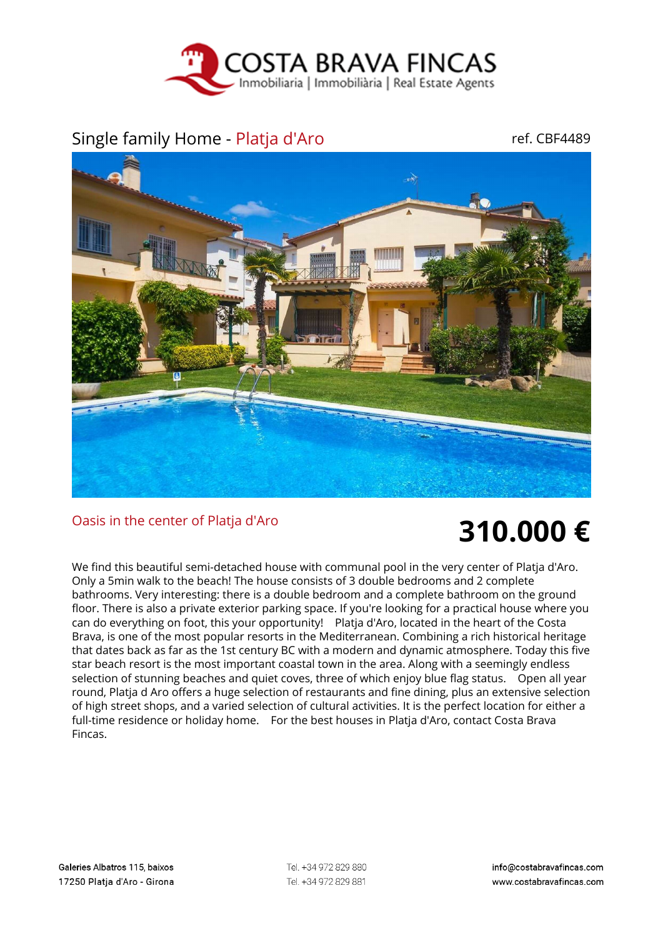

## Single family Home - Platja d'Aro ref. CBF4489



## Oasis in the center of Platja d'Aro **310.000 €**

We find this beautiful semi-detached house with communal pool in the very center of Platja d'Aro. Only a 5min walk to the beach! The house consists of 3 double bedrooms and 2 complete bathrooms. Very interesting: there is a double bedroom and a complete bathroom on the ground floor. There is also a private exterior parking space. If you're looking for a practical house where you can do everything on foot, this your opportunity! Platja d'Aro, located in the heart of the Costa Brava, is one of the most popular resorts in the Mediterranean. Combining a rich historical heritage that dates back as far as the 1st century BC with a modern and dynamic atmosphere. Today this five star beach resort is the most important coastal town in the area. Along with a seemingly endless selection of stunning beaches and quiet coves, three of which enjoy blue flag status. Open all year round, Platja d Aro offers a huge selection of restaurants and fine dining, plus an extensive selection of high street shops, and a varied selection of cultural activities. It is the perfect location for either a full-time residence or holiday home. For the best houses in Platja d'Aro, contact Costa Brava Fincas.